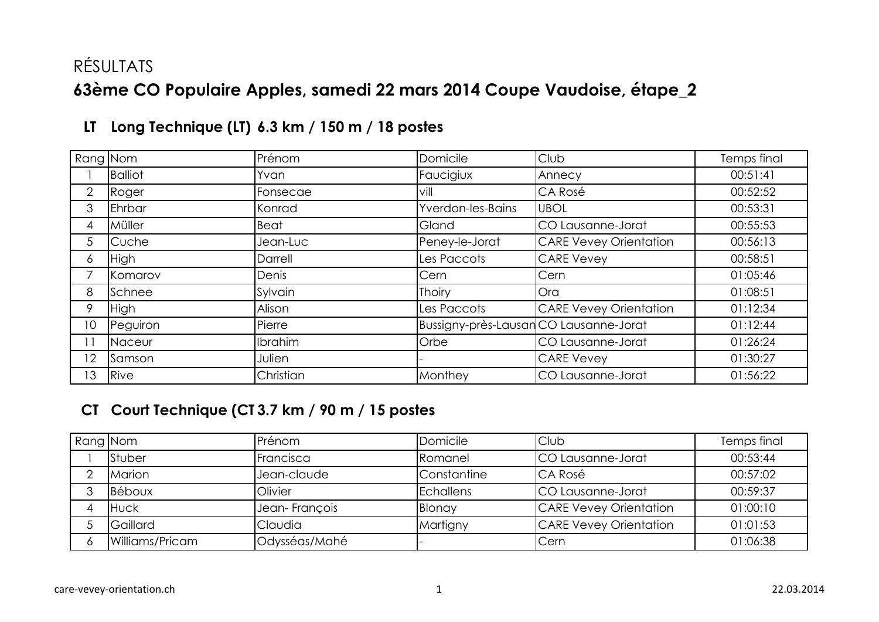# RÉSULTATS **63ème CO Populaire Apples, samedi 22 mars 2014 Coupe Vaudoise, étape\_2**

| Rang Nom       |                | Prénom      | Domicile                               | Club                          | Temps final |
|----------------|----------------|-------------|----------------------------------------|-------------------------------|-------------|
|                | <b>Balliot</b> | Yvan        | Faucigiux                              | Annecy                        | 00:51:41    |
| $\overline{2}$ | Roger          | Fonsecae    | vill                                   | CA Rosé                       | 00:52:52    |
| 3              | Ehrbar         | Konrad      | Yverdon-les-Bains                      | <b>UBOL</b>                   | 00:53:31    |
| 4              | Müller         | <b>Beat</b> | Gland                                  | CO Lausanne-Jorat             | 00:55:53    |
| 5              | Cuche          | Jean-Luc    | Peney-le-Jorat                         | <b>CARE Vevey Orientation</b> | 00:56:13    |
| 6              | <b>High</b>    | Darrell     | Les Paccots                            | <b>CARE Vevey</b>             | 00:58:51    |
|                | Komarov        | Denis       | Cern                                   | Cern                          | 01:05:46    |
| 8              | Schnee         | Sylvain     | <b>Thoiry</b>                          | Ora                           | 01:08:51    |
| 9              | <b>High</b>    | Alison      | Les Paccots                            | <b>CARE Vevey Orientation</b> | 01:12:34    |
| 10             | Peguiron       | Pierre      | Bussigny-près-Lausan CO Lausanne-Jorat |                               | 01:12:44    |
| 11             | Naceur         | Ibrahim     | Orbe                                   | CO Lausanne-Jorat             | 01:26:24    |
| 12             | Samson         | Julien      |                                        | <b>CARE Vevey</b>             | 01:30:27    |
| 13             | Rive           | Christian   | Monthey                                | CO Lausanne-Jorat             | 01:56:22    |

## **LT Long Technique (LT) 6.3 km / 150 m / 18 postes**

#### **CT Court Technique (CT)3.7 km / 90 m / 15 postes**

| Rang Nom |                 | Prénom        | Domicile           | Club                          | Temps final |
|----------|-----------------|---------------|--------------------|-------------------------------|-------------|
|          | Stuber          | Francisca     | Romanel            | <b>ICO Lausanne-Jorat</b>     | 00:53:44    |
|          | Marion          | Jean-claude   | <b>Constantine</b> | <b>CA Rosé</b>                | 00:57:02    |
|          | Béboux          | Olivier       | <b>Echallens</b>   | <b>ICO Lausanne-Jorat</b>     | 00:59:37    |
|          | <b>Huck</b>     | Jean-François | Blonay             | <b>CARE Vevey Orientation</b> | 01:00:10    |
|          | Gaillard        | Claudia       | Martigny           | <b>CARE Vevey Orientation</b> | 01:01:53    |
|          | Williams/Pricam | Odysséas/Mahé |                    | <b>Cern</b>                   | 01:06:38    |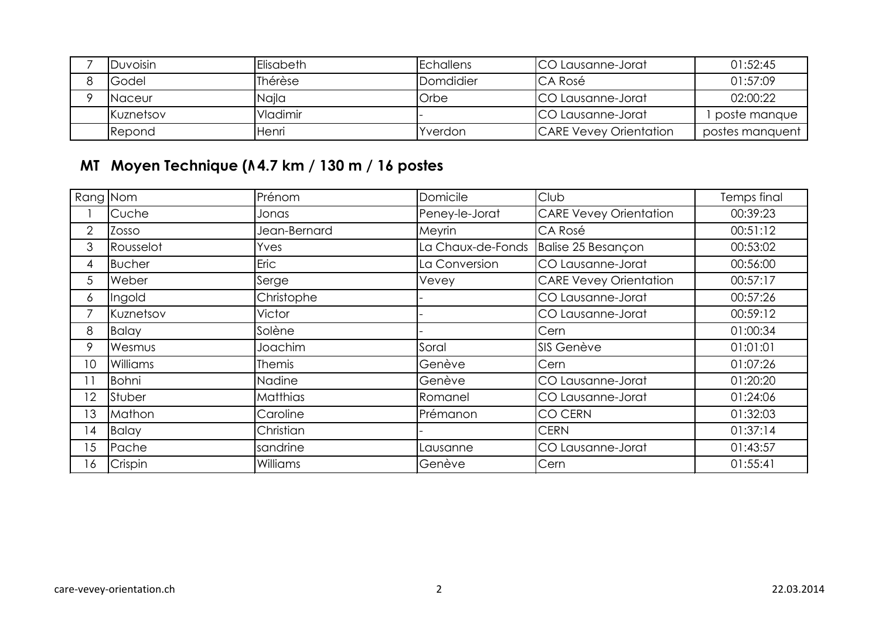| <b>I</b> Duvoisin | Elisabeth       | <b>Echallens</b> | <b>ICO Lausanne-Jorat</b>     | 01:52:45        |
|-------------------|-----------------|------------------|-------------------------------|-----------------|
| Godel             | Thérèse         | Domdidier        | <b>CA Rosé</b>                | 01:57:09        |
| <b>INaceur</b>    | Naila           | Orbe             | <b>ICO Lausanne-Jorat</b>     | 02:00:22        |
| <b>Kuznetsov</b>  | <b>Vladimir</b> |                  | <b>ICO Lausanne-Jorat</b>     | poste manque    |
| <b>Repond</b>     | Henri           | Yverdon          | <b>CARE Vevey Orientation</b> | postes manquent |

## **MT Moyen Technique (MT) 4.7 km / 130 m / 16 postes**

| Rang Nom       |                 | Prénom          | Domicile          | Club                          | Temps final |
|----------------|-----------------|-----------------|-------------------|-------------------------------|-------------|
|                | Cuche           | Jonas           | Peney-le-Jorat    | <b>CARE Vevey Orientation</b> | 00:39:23    |
| $\overline{2}$ | Zosso           | Jean-Bernard    | Meyrin            | CA Rosé                       | 00:51:12    |
| 3              | Rousselot       | Yves            | La Chaux-de-Fonds | Balise 25 Besançon            | 00:53:02    |
| 4              | <b>Bucher</b>   | Eric            | La Conversion     | CO Lausanne-Jorat             | 00:56:00    |
| 5              | Weber           | Serge           | Vevey             | <b>CARE Vevey Orientation</b> | 00:57:17    |
| 6              | Ingold          | Christophe      |                   | CO Lausanne-Jorat             | 00:57:26    |
|                | Kuznetsov       | Victor          |                   | CO Lausanne-Jorat             | 00:59:12    |
| 8              | <b>Balay</b>    | Solène          |                   | Cern                          | 01:00:34    |
| 9              | Wesmus          | Joachim         | Soral             | SIS Genève                    | 01:01:01    |
| 10             | <b>Williams</b> | Themis          | Genève            | Cern                          | 01:07:26    |
| $\vert$ 1      | <b>Bohni</b>    | Nadine          | Genève            | CO Lausanne-Jorat             | 01:20:20    |
| $^{\prime}2$   | Stuber          | <b>Matthias</b> | Romanel           | CO Lausanne-Jorat             | 01:24:06    |
| $\overline{3}$ | Mathon          | Caroline        | Prémanon          | <b>CO CERN</b>                | 01:32:03    |
| l 4            | <b>Balay</b>    | Christian       |                   | <b>CERN</b>                   | 01:37:14    |
| $\overline{5}$ | Pache           | sandrine        | Lausanne          | CO Lausanne-Jorat             | 01:43:57    |
| 16             | Crispin         | Williams        | Genève            | Cern                          | 01:55:41    |